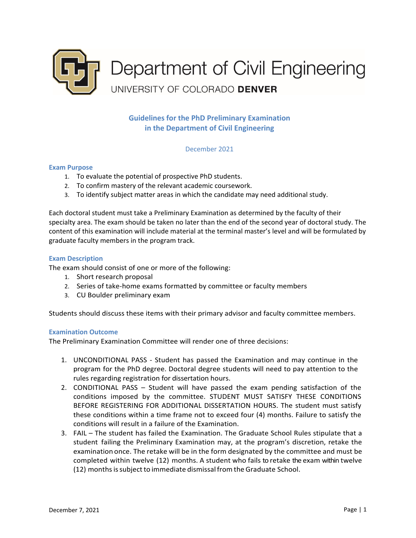

**Guidelines for the PhD Preliminary Examination in the Department of Civil Engineering**

December 2021

## **Exam Purpose**

- 1. To evaluate the potential of prospective PhD students.
- 2. To confirm mastery of the relevant academic coursework.
- 3. To identify subject matter areas in which the candidate may need additional study.

Each doctoral student must take a Preliminary Examination as determined by the faculty of their specialty area. The exam should be taken no later than the end of the second year of doctoral study. The content of this examination will include material at the terminal master's level and will be formulated by graduate faculty members in the program track.

## **Exam Description**

The exam should consist of one or more of the following:

- 1. Short research proposal
- 2. Series of take-home exams formatted by committee or faculty members
- 3. CU Boulder preliminary exam

Students should discuss these items with their primary advisor and faculty committee members.

## **Examination Outcome**

The Preliminary Examination Committee will render one of three decisions:

- 1. UNCONDITIONAL PASS Student has passed the Examination and may continue in the program for the PhD degree. Doctoral degree students will need to pay attention to the rules regarding registration for dissertation hours.
- 2. CONDITIONAL PASS Student will have passed the exam pending satisfaction of the conditions imposed by the committee. STUDENT MUST SATISFY THESE CONDITIONS BEFORE REGISTERING FOR ADDITIONAL DISSERTATION HOURS. The student must satisfy these conditions within a time frame not to exceed four (4) months. Failure to satisfy the conditions will result in a failure of the Examination.
- 3. FAIL The student has failed the Examination. The Graduate School Rules stipulate that a student failing the Preliminary Examination may, at the program's discretion, retake the examination once. The retake will be in the form designated by the committee and must be completed within twelve (12) months. A student who fails to retake the exam within twelve (12) months is subject to immediate dismissal from the Graduate School.